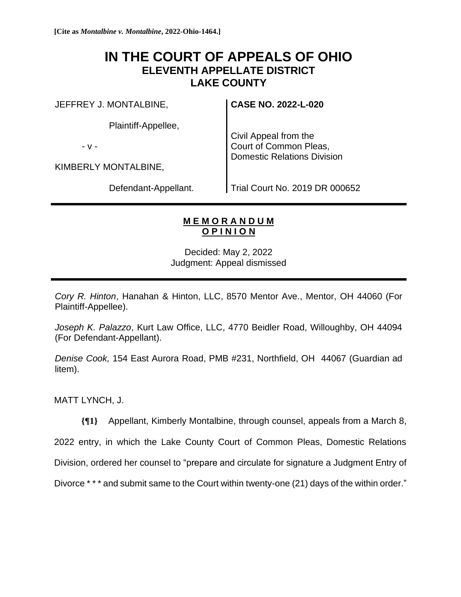## **IN THE COURT OF APPEALS OF OHIO ELEVENTH APPELLATE DISTRICT LAKE COUNTY**

JEFFREY J. MONTALBINE,

Plaintiff-Appellee,

- v -

KIMBERLY MONTALBINE,

Defendant-Appellant.

**CASE NO. 2022-L-020**

Civil Appeal from the Court of Common Pleas, Domestic Relations Division

Trial Court No. 2019 DR 000652

## **M E M O R A N D U M O P I N I O N**

Decided: May 2, 2022 Judgment: Appeal dismissed

*Cory R. Hinton*, Hanahan & Hinton, LLC, 8570 Mentor Ave., Mentor, OH 44060 (For Plaintiff-Appellee).

*Joseph K. Palazzo*, Kurt Law Office, LLC, 4770 Beidler Road, Willoughby, OH 44094 (For Defendant-Appellant).

*Denise Cook,* 154 East Aurora Road, PMB #231, Northfield, OH 44067 (Guardian ad litem).

MATT LYNCH, J.

**{¶1}** Appellant, Kimberly Montalbine, through counsel, appeals from a March 8,

2022 entry, in which the Lake County Court of Common Pleas, Domestic Relations

Division, ordered her counsel to "prepare and circulate for signature a Judgment Entry of

Divorce \* \* \* and submit same to the Court within twenty-one (21) days of the within order."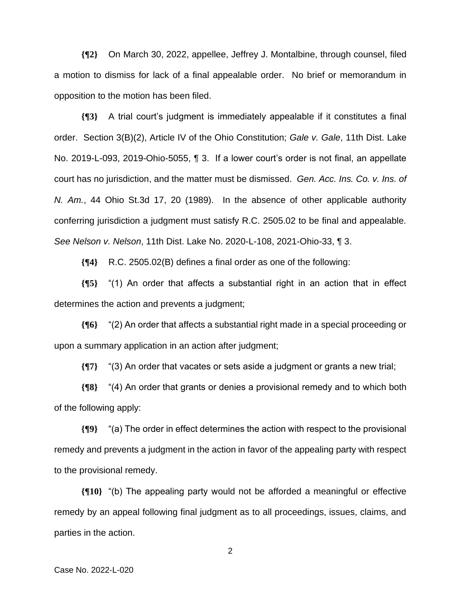**{¶2}** On March 30, 2022, appellee, Jeffrey J. Montalbine, through counsel, filed a motion to dismiss for lack of a final appealable order. No brief or memorandum in opposition to the motion has been filed.

**{¶3}** A trial court's judgment is immediately appealable if it constitutes a final order. Section 3(B)(2), Article IV of the Ohio Constitution; *Gale v. Gale*, 11th Dist. Lake No. 2019-L-093, 2019-Ohio-5055, ¶ 3. If a lower court's order is not final, an appellate court has no jurisdiction, and the matter must be dismissed. *Gen. Acc. Ins. Co. v. Ins. of N. Am.*, 44 Ohio St.3d 17, 20 (1989). In the absence of other applicable authority conferring jurisdiction a judgment must satisfy R.C. 2505.02 to be final and appealable. *See Nelson v. Nelson*, 11th Dist. Lake No. 2020-L-108, 2021-Ohio-33, ¶ 3.

**{¶4}** R.C. 2505.02(B) defines a final order as one of the following:

**{¶5}** "(1) An order that affects a substantial right in an action that in effect determines the action and prevents a judgment;

**{¶6}** "(2) An order that affects a substantial right made in a special proceeding or upon a summary application in an action after judgment;

**{¶7}** "(3) An order that vacates or sets aside a judgment or grants a new trial;

**{¶8}** "(4) An order that grants or denies a provisional remedy and to which both of the following apply:

**{¶9}** "(a) The order in effect determines the action with respect to the provisional remedy and prevents a judgment in the action in favor of the appealing party with respect to the provisional remedy.

**{¶10}** "(b) The appealing party would not be afforded a meaningful or effective remedy by an appeal following final judgment as to all proceedings, issues, claims, and parties in the action.

2